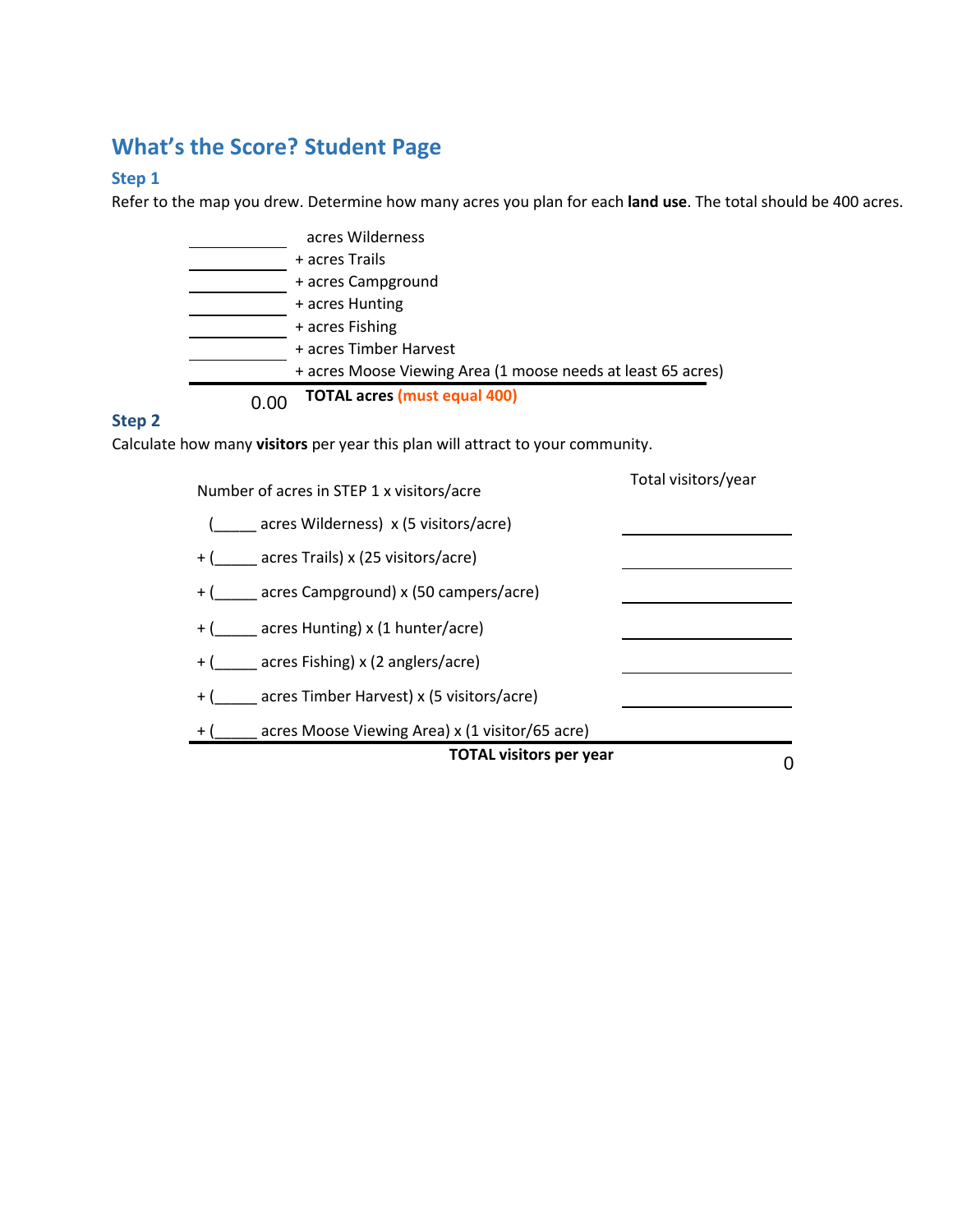# **What's the Score? Student Page**

### **Step 1**

Refer to the map you drew. Determine how many acres you plan for each **land use**. The total should be 400 acres.

| acres Wilderness                                             |
|--------------------------------------------------------------|
| + acres Trails                                               |
| + acres Campground                                           |
| + acres Hunting                                              |
| + acres Fishing                                              |
| + acres Timber Harvest                                       |
| + acres Moose Viewing Area (1 moose needs at least 65 acres) |
| <b>TOTAL acres (must equal 400)</b>                          |

#### **Step 2**

Calculate how many **visitors** per year this plan will attract to your community.

| Number of acres in STEP 1 x visitors/acre       | Total visitors/year |
|-------------------------------------------------|---------------------|
| (acres Wilderness) x (5 visitors/acre)          |                     |
| + ( acres Trails) x (25 visitors/acre)          |                     |
| + (acres Campground) x (50 campers/acre)        |                     |
| + ( acres Hunting) x (1 hunter/acre)            |                     |
| + ( acres Fishing) x (2 anglers/acre)           |                     |
| + ( acres Timber Harvest) x (5 visitors/acre)   |                     |
| acres Moose Viewing Area) x (1 visitor/65 acre) |                     |
| <b>TOTAL visitors per year</b>                  |                     |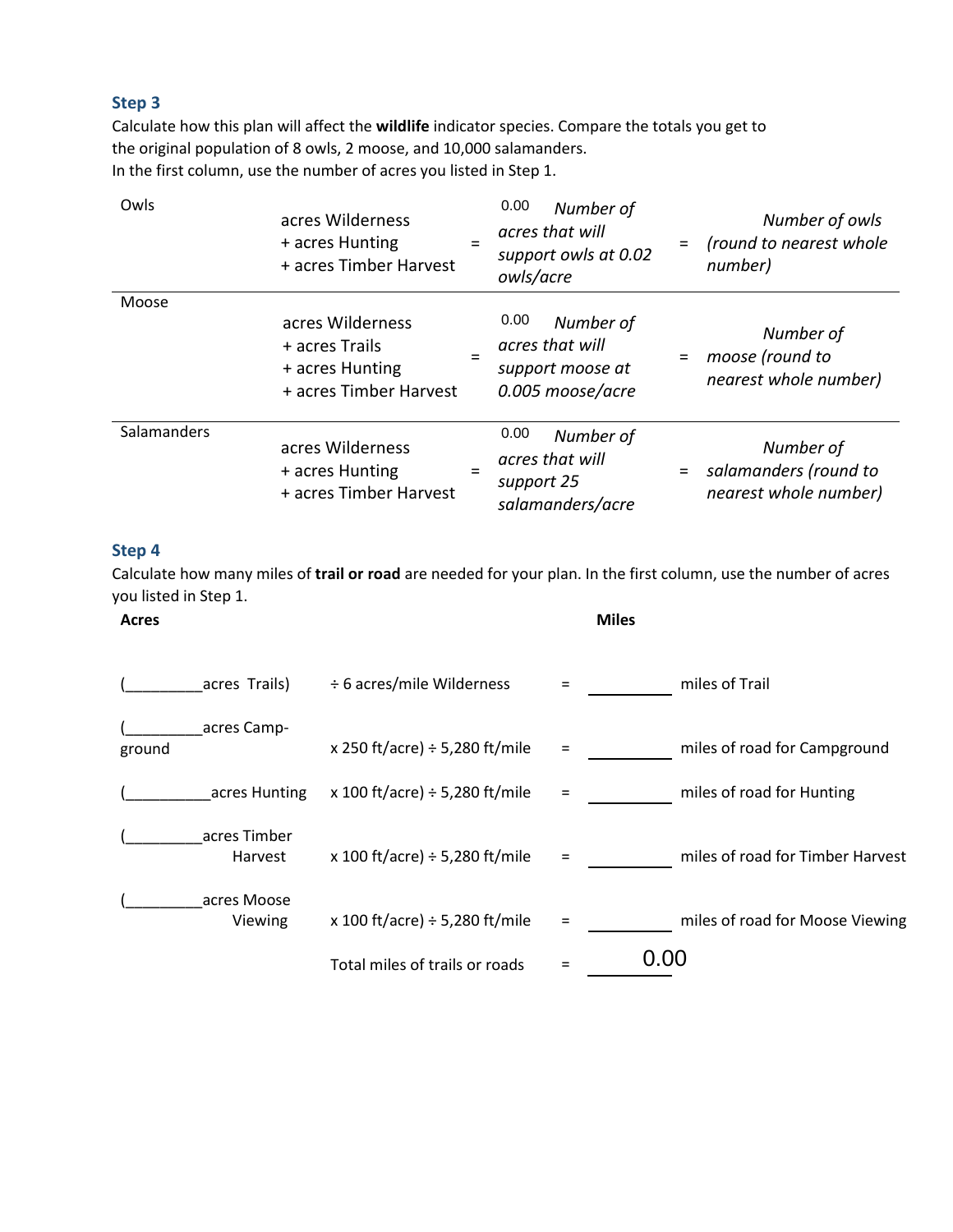#### **Step 3**

Calculate how this plan will affect the **wildlife** indicator species. Compare the totals you get to the original population of 8 owls, 2 moose, and 10,000 salamanders. In the first column, use the number of acres you listed in Step 1.

| Owls        | acres Wilderness<br>+ acres Hunting<br>+ acres Timber Harvest                   | $=$ | 0.00<br>Number of<br>acres that will<br>support owls at 0.02<br>owls/acre    | = | Number of owls<br>(round to nearest whole<br>number)        |
|-------------|---------------------------------------------------------------------------------|-----|------------------------------------------------------------------------------|---|-------------------------------------------------------------|
| Moose       |                                                                                 |     |                                                                              |   |                                                             |
|             | acres Wilderness<br>+ acres Trails<br>+ acres Hunting<br>+ acres Timber Harvest |     | 0.00<br>Number of<br>acres that will<br>support moose at<br>0.005 moose/acre |   | Number of<br>moose (round to<br>nearest whole number)       |
| Salamanders | acres Wilderness<br>+ acres Hunting<br>+ acres Timber Harvest                   |     | 0.00<br>Number of<br>acres that will<br>support 25<br>salamanders/acre       |   | Number of<br>salamanders (round to<br>nearest whole number) |

#### **Step 4**

Calculate how many miles of **trail or road** are needed for your plan. In the first column, use the number of acres you listed in Step 1.

| Acres                   |                                     | <b>Miles</b>                           |  |
|-------------------------|-------------------------------------|----------------------------------------|--|
| acres Trails)           | ÷ 6 acres/mile Wilderness           | miles of Trail                         |  |
| acres Camp-<br>ground   | x 250 ft/acre) $\div$ 5,280 ft/mile | miles of road for Campground<br>$=$    |  |
| acres Hunting           | x 100 ft/acre) $\div$ 5,280 ft/mile | miles of road for Hunting<br>$=$       |  |
| acres Timber<br>Harvest | x 100 ft/acre) $\div$ 5,280 ft/mile | miles of road for Timber Harvest<br>Ξ  |  |
| acres Moose<br>Viewing  | x 100 ft/acre) $\div$ 5,280 ft/mile | miles of road for Moose Viewing<br>$=$ |  |
|                         | Total miles of trails or roads      | 0.00                                   |  |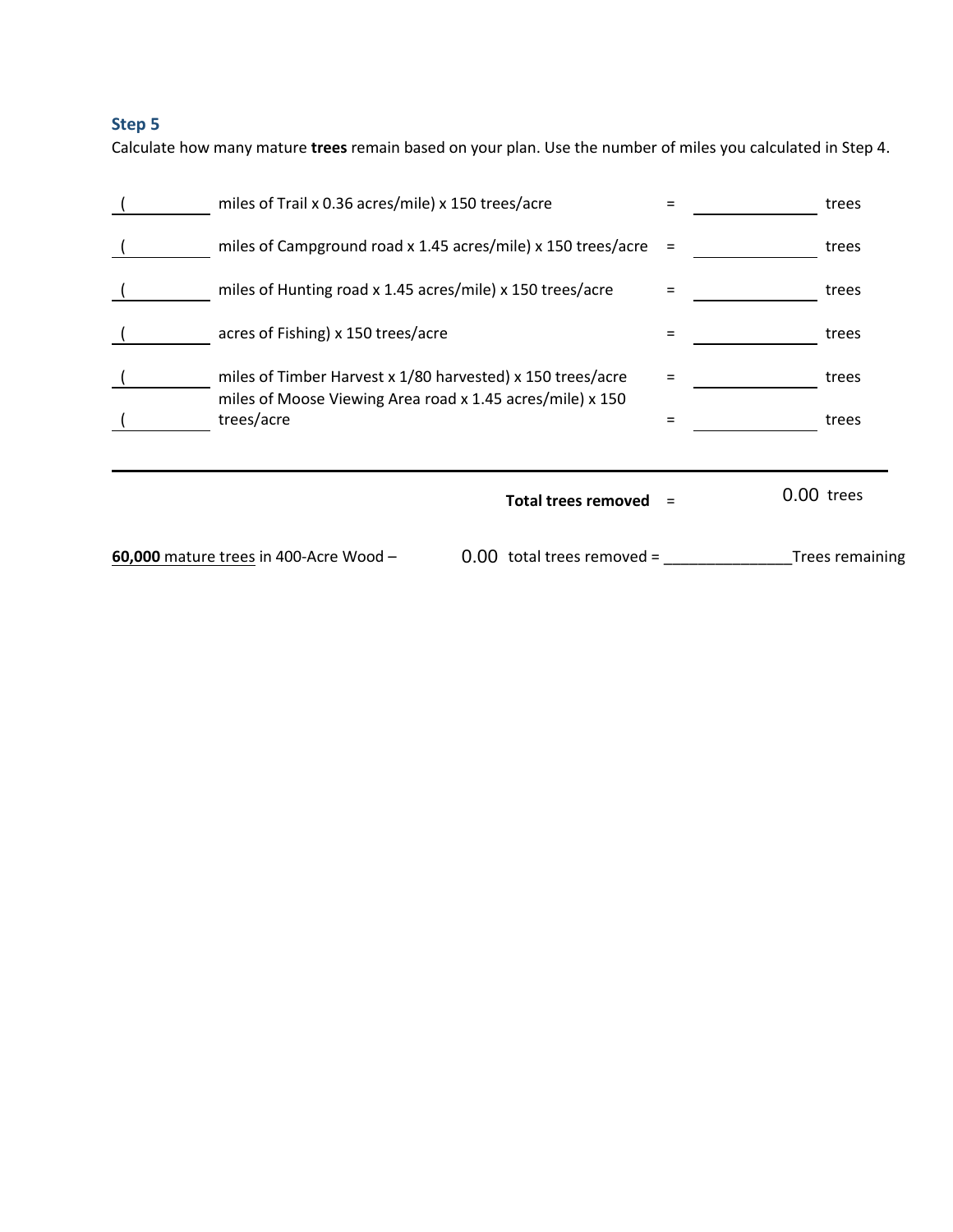## **Step 5**

Calculate how many mature **trees** remain based on your plan. Use the number of miles you calculated in Step 4.

| 60,000 mature trees in 400-Acre Wood -                                                                                  | $0.00$ total trees removed = |     | Trees remaining |
|-------------------------------------------------------------------------------------------------------------------------|------------------------------|-----|-----------------|
|                                                                                                                         | <b>Total trees removed</b>   |     | 0.00 trees      |
| trees/acre                                                                                                              |                              | $=$ | trees           |
| miles of Timber Harvest x 1/80 harvested) x 150 trees/acre<br>miles of Moose Viewing Area road x 1.45 acres/mile) x 150 |                              |     | trees           |
| acres of Fishing) x 150 trees/acre                                                                                      |                              | $=$ | trees           |
| miles of Hunting road x 1.45 acres/mile) x 150 trees/acre                                                               |                              | $=$ | trees           |
| miles of Campground road x 1.45 acres/mile) x 150 trees/acre                                                            |                              | $=$ | trees           |
| miles of Trail x 0.36 acres/mile) x 150 trees/acre                                                                      |                              | $=$ | trees           |